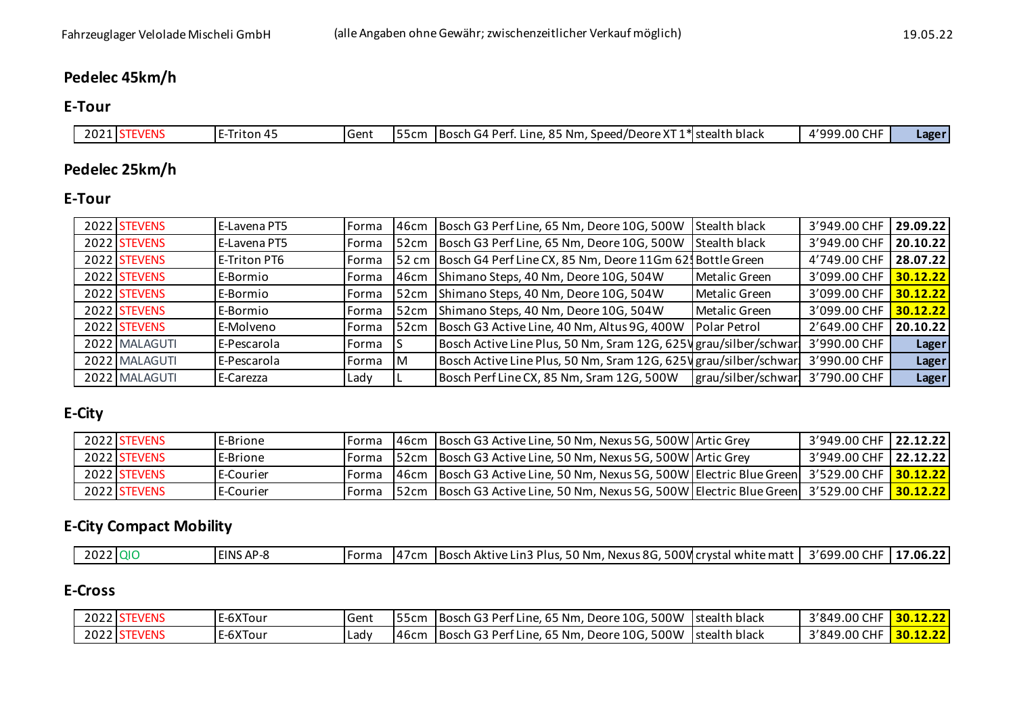## **Pedelec 45km/h**

#### **E-Tour**

| 2 U Z | -<br>Triton 4<br>-- | -<br>IGent | 5cm | $\cdot$<br>stealth<br>- O F<br>, Nm<br>:h black<br>·Dar<br>Speed/<br><b>IBOSCH</b><br>, Deorr<br>Line.<br>$\cdot$ $\cdot$ $\cdot$<br>$\cdots$ | $\sim\cdot\cdot$<br>11000<br>$\sim$<br>$\overline{\phantom{a}}$<br>טש.<br>. | Lager |
|-------|---------------------|------------|-----|-----------------------------------------------------------------------------------------------------------------------------------------------|-----------------------------------------------------------------------------|-------|

## **Pedelec 25km/h**

### **E-Tour**

| 2022 STEVENS  | E-Lavena PT5 | Forma | 146cm | Bosch G3 Perf Line, 65 Nm, Deore 10G, 500W                        | <b>Stealth black</b> | 3'949.00 CHF | 29.09.22     |
|---------------|--------------|-------|-------|-------------------------------------------------------------------|----------------------|--------------|--------------|
| 2022 STEVENS  | E-Lavena PT5 | Forma | l52cm | Bosch G3 Perf Line, 65 Nm, Deore 10G, 500W                        | <b>Stealth black</b> | 3'949.00 CHF | 20.10.22     |
| 2022 STEVENS  | E-Triton PT6 | Forma |       | 52 cm   Bosch G4 Perf Line CX, 85 Nm, Deore 11Gm 62. Bottle Green |                      | 4'749.00 CHF | 28.07.22     |
| 2022 STEVENS  | E-Bormio     | Forma | 146cm | Shimano Steps, 40 Nm, Deore 10G, 504W                             | Metalic Green        | 3'099.00 CHF | 30.12.22     |
| 2022 STEVENS  | E-Bormio     | Forma | l52cm | Shimano Steps, 40 Nm, Deore 10G, 504W                             | Metalic Green        | 3'099.00 CHF | 30.12.22     |
| 2022 STEVENS  | E-Bormio     | Forma | 52cm  | Shimano Steps, 40 Nm, Deore 10G, 504W                             | Metalic Green        | 3'099.00 CHF | 30.12.22     |
| 2022 STEVENS  | E-Molveno    | Forma | 152cm | Bosch G3 Active Line, 40 Nm, Altus 9G, 400W                       | <b>Polar Petrol</b>  | 2'649.00 CHF | 20.10.22     |
| 2022 MALAGUTI | E-Pescarola  | Forma |       | Bosch Active Line Plus, 50 Nm, Sram 12G, 625V grau/silber/schwart |                      | 3'990.00 CHF | Lager        |
| 2022 MALAGUTI | E-Pescarola  | Forma | м     | Bosch Active Line Plus, 50 Nm, Sram 12G, 625 \grau/silber/schwarl |                      | 3'990.00 CHF | <b>Lager</b> |
| 2022 MALAGUTI | E-Carezza    | Lady  |       | Bosch Perf Line CX, 85 Nm, Sram 12G, 500W                         | grau/silber/schwar!  | 3'790.00 CHF | <b>Lager</b> |
|               |              |       |       |                                                                   |                      |              |              |

## **E-City**

| 2022 STEVENS | <b>E-Brione</b> | <b>IForma</b> | 46cm Bosch G3 Active Line, 50 Nm, Nexus 5G, 500W Artic Grey                                      | 3'949.00 CHF 22.12.22   |  |
|--------------|-----------------|---------------|--------------------------------------------------------------------------------------------------|-------------------------|--|
| 2022 STEVENS | <b>E-Brione</b> |               | Forma 52cm Bosch G3 Active Line, 50 Nm, Nexus 5G, 500W Artic Grey                                | 3'949.00 CHF   22.12.22 |  |
| 2022 STEVENS | E-Courier       | 1 Forma       | 46cm  Bosch G3 Active Line, 50 Nm, Nexus 5G, 500W  Electric Blue Green   3'529.00 CHF   30.12.22 |                         |  |
| 2022 STEVENS | l E-Courier     | Forma         | S2cm  Bosch G3 Active Line, 50 Nm, Nexus 5G, 500W  Electric Blue Green   3'529.00 CHF   30.12.22 |                         |  |

## **E-City Compact Mobility**

| $\sim$ $\sim$<br>2022h<br>500Vlcrv<br><b>EINS AP-8</b><br>. 00 .<br>Lin3 Plus<br>Nexus 8G<br>699<br>. 50 Nm<br>I Bosch Aktive.<br>7.06.22<br>tal white matf<br>l crystal<br>Forma<br>$\prime$ cm.<br>ΉF<br>2 U Z Z |
|--------------------------------------------------------------------------------------------------------------------------------------------------------------------------------------------------------------------|
|--------------------------------------------------------------------------------------------------------------------------------------------------------------------------------------------------------------------|

## **E-Cross**

| 2022 STEVENS | <b>IE-6XTour</b> | Gent |       | [55cm] Bosch G3 Perf Line, 65 Nm, Deore 10G, 500W Stealth black | 3'849.00 CHF 30.12.22   |  |
|--------------|------------------|------|-------|-----------------------------------------------------------------|-------------------------|--|
| 2022 STEVENS | E-6XTour         | Ladv | 146cm | I Bosch G3 Perf Line, 65 Nm, Deore 10G, 500W Stealth black      | 3'849.00 CHF   30.12.22 |  |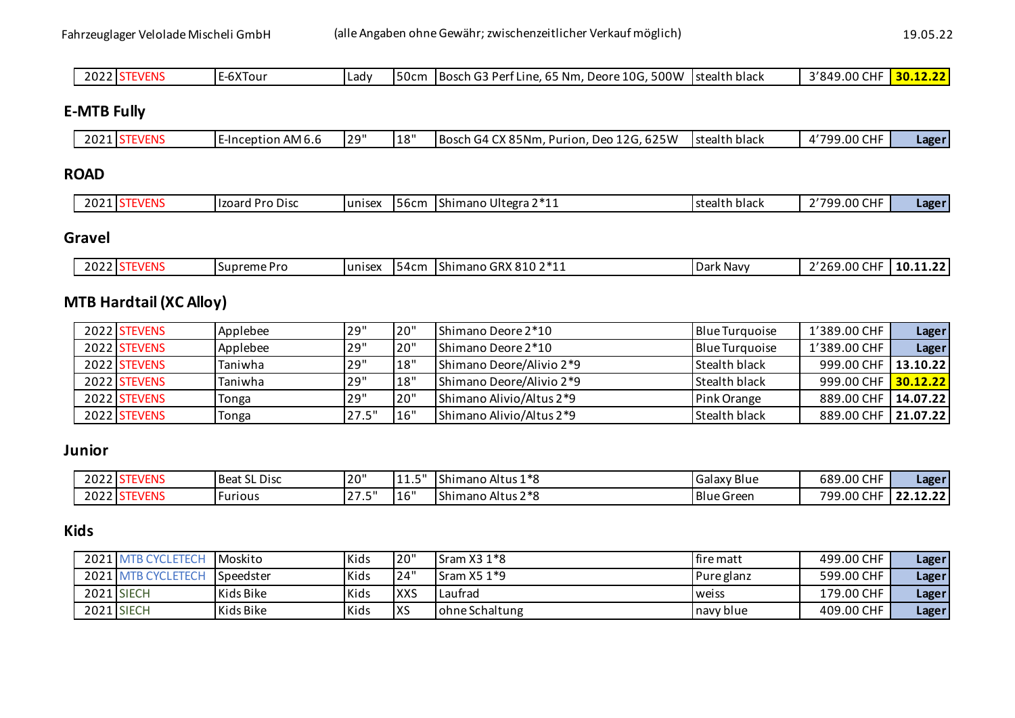| $\sim$ $\sim$ $\sim$<br>-6XTour<br>ากา<br>TBosch G.<br>50cm ل<br>Lady<br>ZUZZ | 500W<br>3'849<br>$C = C$<br>$\approx 10$ G.<br>30<br>.65 Nm.<br>Istealth black<br>.9.00°<br>Deore<br>. Dar†<br>: Line. 65<br>- 100 | $\sim$ $\sim$ |
|-------------------------------------------------------------------------------|------------------------------------------------------------------------------------------------------------------------------------|---------------|
|-------------------------------------------------------------------------------|------------------------------------------------------------------------------------------------------------------------------------|---------------|

## **E-MTB Fully**

| 2021 STEVENS |  |  |  | E-Inception AM 6.6 | 29" | 18" | , Deo 12G, 625W<br><b>IBosch G4 CX 85Nm.</b><br>Purion. | Istealth black | 1'799.00 CHF | Lager |
|--------------|--|--|--|--------------------|-----|-----|---------------------------------------------------------|----------------|--------------|-------|
|--------------|--|--|--|--------------------|-----|-----|---------------------------------------------------------|----------------|--------------|-------|

### **ROAD**

| 202. | 'EIV. | l Pro Disc<br>Hzoard | unise | 56cm | Shimano Ultegra 2*11 | Istealth black | .9.00 CHF<br><b>1700</b> . | Lager |
|------|-------|----------------------|-------|------|----------------------|----------------|----------------------------|-------|
|------|-------|----------------------|-------|------|----------------------|----------------|----------------------------|-------|

## **Gravel**

| CDV<br>$\sim$<br>. – າ * 4<br>010<br>ີ<br>----<br>. .<br>$\sim$<br>.00<br>.<br>$\sum_{i=1}^{n}$<br>$.$ Drc<br>lunisex<br>.54cm<br>.<br>k Navv<br>Shimano<br>supr<br>eme<br>`GRA 810 Z<br>$\sim$<br>55 F<br>υd<br>.<br>$-u$<br>་◡ィ<br>11.LL<br>.<br>.<br>.<br>. |
|----------------------------------------------------------------------------------------------------------------------------------------------------------------------------------------------------------------------------------------------------------------|
|----------------------------------------------------------------------------------------------------------------------------------------------------------------------------------------------------------------------------------------------------------------|

## **MTB Hardtail (XC Alloy)**

| 2022 STEVENS | Applebee | 29"   | 20"  | Shimano Deore 2*10       | <b>Blue Turquoise</b> | 1'389.00 CHF          | <b>Lager</b> |
|--------------|----------|-------|------|--------------------------|-----------------------|-----------------------|--------------|
| 2022 STEVENS | Applebee | 29"   | 120" | Shimano Deore 2*10       | <b>Blue Turquoise</b> | 1'389.00 CHF          | Lager        |
| 2022 STEVENS | Taniwha  | 29"   | 18"  | Shimano Deore/Alivio 2*9 | Stealth black         | 999.00 CHF            | 13.10.22     |
| 2022 STEVENS | Taniwha  | 29"   | 18"  | Shimano Deore/Alivio 2*9 | Stealth black         | 999.00 CHF 30.12.22   |              |
| 2022 STEVENS | Tonga    | 29"   | 20"  | Shimano Alivio/Altus 2*9 | Pink Orange           | 889.00 CHF 14.07.22   |              |
| 2022 STEVENS | Tonga    | 27.5" | 16"  | Shimano Alivio/Altus 2*9 | <b>Stealth black</b>  | 889.00 CHF   21.07.22 |              |

#### **Junior**

| 2022 S | $\sim$<br>EVENS | <b>Beat SL Disc</b> | 20"                     | $-11$<br>--- | Shimano Altus 1*8                     | <b>Galaxy Blue</b> | 689.00 CHF       | Lager    |
|--------|-----------------|---------------------|-------------------------|--------------|---------------------------------------|--------------------|------------------|----------|
| 2022 S | TEVENS          | <b>Furious</b>      | $\sim$ $-$<br>- 11<br>ر | 16"          | Shimano Altus 2 <sup>*</sup><br>$7*0$ | <b>Blue Green</b>  | 799<br>99.00 CHF | 22.12.22 |

### **Kids**

|      | 2021 MTB CYCL<br>LETECI | l Moskito   | Kids | 20"        | Sram $X31*8$     | I fire matt | 499.00 CHF | Lager |
|------|-------------------------|-------------|------|------------|------------------|-------------|------------|-------|
| 2021 | <b>ATR CVCI</b>         | l Speedster | Kids | 24"        | Sram $X51*9$     | Pure glanz  | 599.00 CHF | Lager |
|      | 2021 SIECH              | Kids Bike   | Kids | <b>XXS</b> | Laufrad          | weiss       | 179.00 CHF | Lager |
|      | 2021 SIECH              | Kids Bike   | Kids | <b>XS</b>  | l ohne Schaltung | navy blue   | 409.00 CHF | Lager |